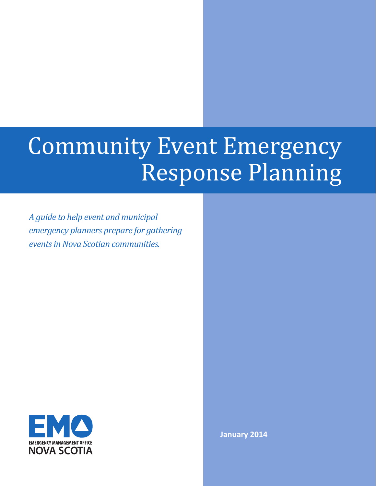# Community Event Emergency Response Planning

*A guide to help event and municipal emergency planners prepare for gathering events in Nova Scotian communities.*



**January 2014**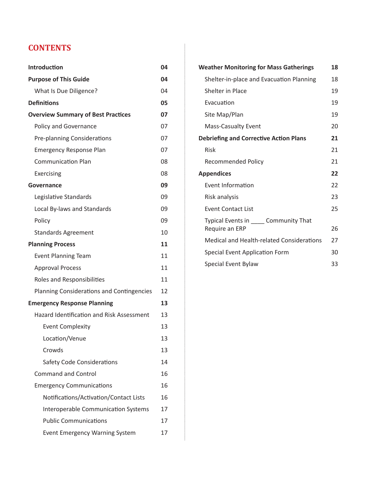# **CONTENTS**

| <b>Introduction</b>                        | 04 |
|--------------------------------------------|----|
| <b>Purpose of This Guide</b>               | 04 |
| What Is Due Diligence?                     | 04 |
| <b>Definitions</b>                         | 05 |
| <b>Overview Summary of Best Practices</b>  | 07 |
| Policy and Governance                      | 07 |
| Pre-planning Considerations                | 07 |
| <b>Emergency Response Plan</b>             | 07 |
| <b>Communication Plan</b>                  | 08 |
| Exercising                                 | 08 |
| Governance                                 | 09 |
| Legislative Standards                      | 09 |
| Local By-laws and Standards                | 09 |
| Policy                                     | 09 |
| <b>Standards Agreement</b>                 | 10 |
| <b>Planning Process</b>                    | 11 |
| <b>Event Planning Team</b>                 | 11 |
| <b>Approval Process</b>                    | 11 |
| Roles and Responsibilities                 | 11 |
| Planning Considerations and Contingencies  | 12 |
| <b>Emergency Response Planning</b>         | 13 |
| Hazard Identification and Risk Assessment  | 13 |
| <b>Event Complexity</b>                    | 13 |
| Location/Venue                             | 13 |
| Crowds                                     | 13 |
| Safety Code Considerations                 | 14 |
| <b>Command and Control</b>                 | 16 |
| <b>Emergency Communications</b>            | 16 |
| Notifications/Activation/Contact Lists     | 16 |
| <b>Interoperable Communication Systems</b> | 17 |
| <b>Public Communications</b>               | 17 |
| <b>Event Emergency Warning System</b>      | 17 |

| <b>Weather Monitoring for Mass Gatherings</b>             | 18 |
|-----------------------------------------------------------|----|
| Shelter-in-place and Evacuation Planning                  | 18 |
| <b>Shelter in Place</b>                                   | 19 |
| Evacuation                                                | 19 |
| Site Map/Plan                                             | 19 |
| <b>Mass-Casualty Event</b>                                | 20 |
| <b>Debriefing and Corrective Action Plans</b>             | 21 |
| Risk                                                      | 21 |
| <b>Recommended Policy</b>                                 | 21 |
| <b>Appendices</b>                                         | 22 |
| Event Information                                         | 22 |
| Risk analysis                                             | 23 |
| <b>Event Contact List</b>                                 | 25 |
| Typical Events in ______ Community That<br>Require an ERP | 26 |
| <b>Medical and Health-related Considerations</b>          | 27 |
| Special Event Application Form                            | 30 |
| Special Event Bylaw                                       | 33 |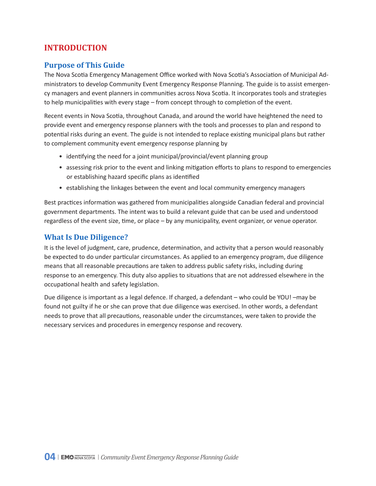## <span id="page-3-0"></span>**INTRODUCTION**

## **Purpose of This Guide**

The Nova Scotia Emergency Management Office worked with Nova Scotia's Association of Municipal Administrators to develop Community Event Emergency Response Planning. The guide is to assist emergency managers and event planners in communities across Nova Scotia. It incorporates tools and strategies to help municipalities with every stage – from concept through to completion of the event.

Recent events in Nova Scotia, throughout Canada, and around the world have heightened the need to provide event and emergency response planners with the tools and processes to plan and respond to potential risks during an event. The guide is not intended to replace existing municipal plans but rather to complement community event emergency response planning by

- identifying the need for a joint municipal/provincial/event planning group
- assessing risk prior to the event and linking mitigation efforts to plans to respond to emergencies or establishing hazard specific plans as identified
- establishing the linkages between the event and local community emergency managers

Best practices information was gathered from municipalities alongside Canadian federal and provincial government departments. The intent was to build a relevant guide that can be used and understood regardless of the event size, time, or place – by any municipality, event organizer, or venue operator.

## **What Is Due Diligence?**

It is the level of judgment, care, prudence, determination, and activity that a person would reasonably be expected to do under particular circumstances. As applied to an emergency program, due diligence means that all reasonable precautions are taken to address public safety risks, including during response to an emergency. This duty also applies to situations that are not addressed elsewhere in the occupational health and safety legislation.

Due diligence is important as a legal defence. If charged, a defendant – who could be YOU! –may be found not guilty if he or she can prove that due diligence was exercised. In other words, a defendant needs to prove that all precautions, reasonable under the circumstances, were taken to provide the necessary services and procedures in emergency response and recovery.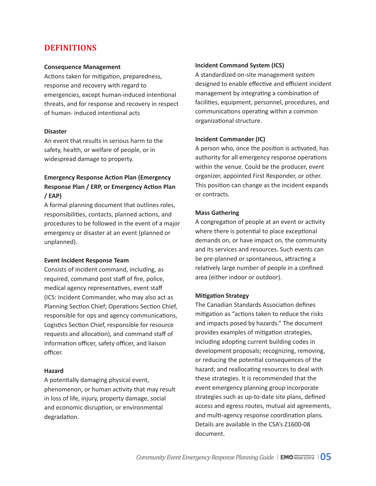## <span id="page-4-0"></span>**DEFINITIONS**

#### **Consequence Management**

Actions taken for mitigation, preparedness, response and recovery with regard to emergencies, except human-induced intentional threats, and for response and recovery in respect of human- induced intentional acts

#### **Disaster**

An event that results in serious harm to the safety, health, or welfare of people, or in widespread damage to property.

## **Emergency Response Action Plan (Emergency Response Plan / ERP, or Emergency Action Plan / EAP)**

A formal planning document that outlines roles, responsibilities, contacts, planned actions, and procedures to be followed in the event of a major emergency or disaster at an event (planned or unplanned).

#### **Event Incident Response Team**

Consists of incident command, including, as required, command post staff of fire, police, medical agency representatives, event staff (ICS: Incident Commander, who may also act as Planning Section Chief; Operations Section Chief, responsible for ops and agency communications, Logistics Section Chief, responsible for resource requests and allocation), and command staff of information officer, safety officer, and liaison officer.

#### **Hazard**

A potentially damaging physical event, phenomenon, or human activity that may result in loss of life, injury, property damage, social and economic disruption, or environmental degradation.

#### **Incident Command System (ICS)**

A standardized on-site management system designed to enable effective and efficient incident management by integrating a combination of facilities, equipment, personnel, procedures, and communications operating within a common organizational structure.

#### **Incident Commander (IC)**

A person who, once the position is activated, has authority for all emergency response operations within the venue. Could be the producer, event organizer, appointed First Responder, or other. This position can change as the incident expands or contracts.

#### **Mass Gathering**

A congregation of people at an event or activity where there is potential to place exceptional demands on, or have impact on, the community and its services and resources. Such events can be pre-planned or spontaneous, attracting a relatively large number of people in a confined area (either indoor or outdoor).

#### **Mitigation Strategy**

The Canadian Standards Association defines mitigation as "actions taken to reduce the risks and impacts posed by hazards." The document provides examples of mitigation strategies, including adopting current building codes in development proposals; recognizing, removing, or reducing the potential consequences of the hazard; and reallocating resources to deal with these strategies. It is recommended that the event emergency planning group incorporate strategies such as up-to-date site plans, defined access and egress routes, mutual aid agreements, and multi-agency response coordination plans. Details are available in the CSA's Z1600-08 document.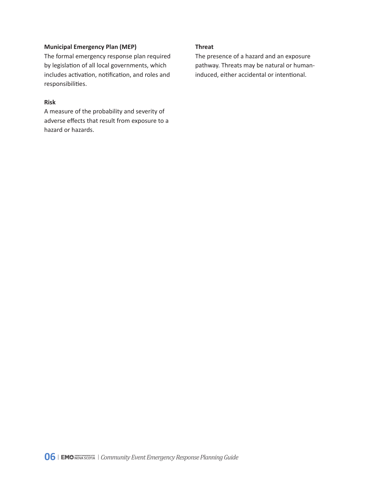#### **Municipal Emergency Plan (MEP)**

The formal emergency response plan required by legislation of all local governments, which includes activation, notification, and roles and responsibilities.

#### **Risk**

A measure of the probability and severity of adverse effects that result from exposure to a hazard or hazards.

#### **Threat**

The presence of a hazard and an exposure pathway. Threats may be natural or humaninduced, either accidental or intentional.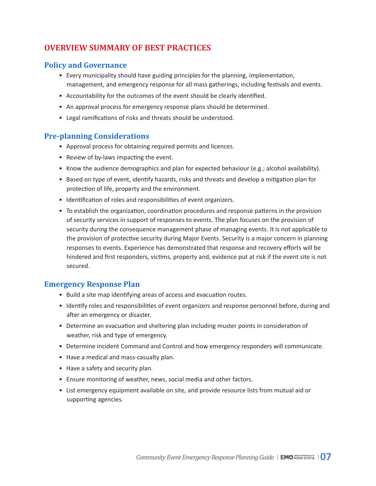# <span id="page-6-0"></span>**OVERVIEW SUMMARY OF BEST PRACTICES**

## **Policy and Governance**

- Every municipality should have guiding principles for the planning, implementation, management, and emergency response for all mass gatherings, including festivals and events.
- Accountability for the outcomes of the event should be clearly identified.
- An approval process for emergency response plans should be determined.
- Legal ramifications of risks and threats should be understood.

## **Pre-planning Considerations**

- Approval process for obtaining required permits and licences.
- Review of by-laws impacting the event.
- Know the audience demographics and plan for expected behaviour (e.g.; alcohol availability).
- Based on type of event, identify hazards, risks and threats and develop a mitigation plan for protection of life, property and the environment.
- Identification of roles and responsibilities of event organizers.
- To establish the organization, coordination procedures and response patterns in the provision of security services in support of responses to events. The plan focuses on the provision of security during the consequence management phase of managing events. It is not applicable to the provision of protective security during Major Events. Security is a major concern in planning responses to events. Experience has demonstrated that response and recovery efforts will be hindered and first responders, victims, property and, evidence put at risk if the event site is not secured.

## **Emergency Response Plan**

- Build a site map identifying areas of access and evacuation routes.
- Identify roles and responsibilities of event organizers and response personnel before, during and after an emergency or disaster.
- Determine an evacuation and sheltering plan including muster points in consideration of weather, risk and type of emergency.
- Determine incident Command and Control and how emergency responders will communicate.
- Have a medical and mass-casualty plan.
- Have a safety and security plan.
- Ensure monitoring of weather, news, social media and other factors.
- List emergency equipment available on site, and provide resource lists from mutual aid or supporting agencies.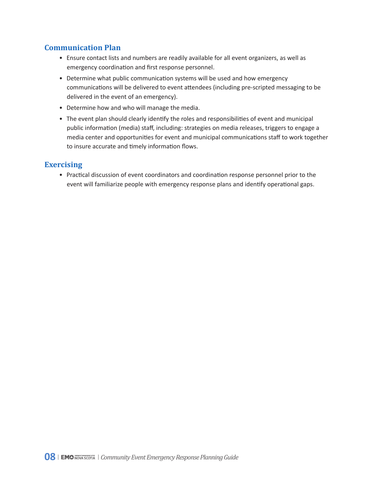## <span id="page-7-0"></span>**Communication Plan**

- Ensure contact lists and numbers are readily available for all event organizers, as well as emergency coordination and first response personnel.
- Determine what public communication systems will be used and how emergency communications will be delivered to event attendees (including pre-scripted messaging to be delivered in the event of an emergency).
- Determine how and who will manage the media.
- The event plan should clearly identify the roles and responsibilities of event and municipal public information (media) staff, including: strategies on media releases, triggers to engage a media center and opportunities for event and municipal communications staff to work together to insure accurate and timely information flows.

## **Exercising**

• Practical discussion of event coordinators and coordination response personnel prior to the event will familiarize people with emergency response plans and identify operational gaps.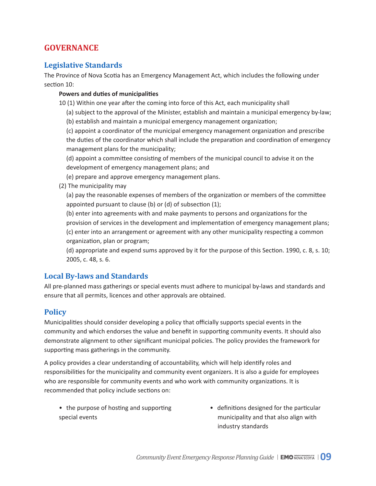## <span id="page-8-0"></span>**GOVERNANCE**

## **Legislative Standards**

The Province of Nova Scotia has an Emergency Management Act, which includes the following under section 10:

#### **Powers and duties of municipalities**

10 (1) Within one year after the coming into force of this Act, each municipality shall

(a) subject to the approval of the Minister, establish and maintain a municipal emergency by-law;

(b) establish and maintain a municipal emergency management organization;

(c) appoint a coordinator of the municipal emergency management organization and prescribe the duties of the coordinator which shall include the preparation and coordination of emergency management plans for the municipality;

(d) appoint a committee consisting of members of the municipal council to advise it on the development of emergency management plans; and

(e) prepare and approve emergency management plans.

(2) The municipality may

(a) pay the reasonable expenses of members of the organization or members of the committee appointed pursuant to clause (b) or (d) of subsection (1);

(b) enter into agreements with and make payments to persons and organizations for the provision of services in the development and implementation of emergency management plans; (c) enter into an arrangement or agreement with any other municipality respecting a common organization, plan or program;

(d) appropriate and expend sums approved by it for the purpose of this Section. 1990, c. 8, s. 10; 2005, c. 48, s. 6.

## **Local By-laws and Standards**

All pre-planned mass gatherings or special events must adhere to municipal by-laws and standards and ensure that all permits, licences and other approvals are obtained.

## **Policy**

Municipalities should consider developing a policy that officially supports special events in the community and which endorses the value and benefit in supporting community events. It should also demonstrate alignment to other significant municipal policies. The policy provides the framework for supporting mass gatherings in the community.

A policy provides a clear understanding of accountability, which will help identify roles and responsibilities for the municipality and community event organizers. It is also a guide for employees who are responsible for community events and who work with community organizations. It is recommended that policy include sections on:

- the purpose of hosting and supporting special events
- definitions designed for the particular municipality and that also align with industry standards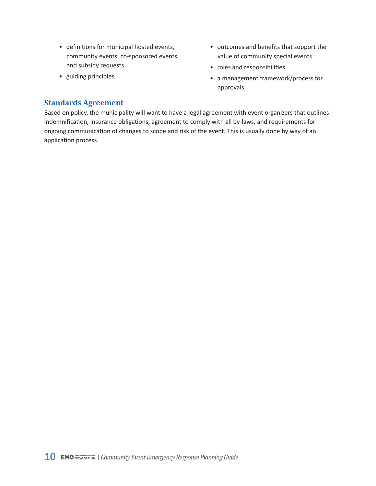- <span id="page-9-0"></span>• definitions for municipal hosted events, community events, co-sponsored events, and subsidy requests
- guiding principles
- outcomes and benefits that support the value of community special events
- roles and responsibilities
- a management framework/process for approvals

## **Standards Agreement**

Based on policy, the municipality will want to have a legal agreement with event organizers that outlines indemnification, insurance obligations, agreement to comply with all by-laws, and requirements for ongoing communication of changes to scope and risk of the event. This is usually done by way of an application process.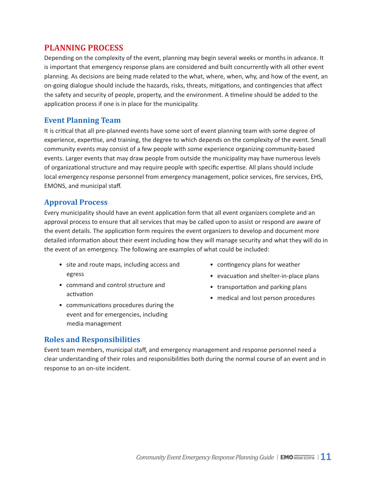## <span id="page-10-0"></span>**PLANNING PROCESS**

Depending on the complexity of the event, planning may begin several weeks or months in advance. It is important that emergency response plans are considered and built concurrently with all other event planning. As decisions are being made related to the what, where, when, why, and how of the event, an on-going dialogue should include the hazards, risks, threats, mitigations, and contingencies that affect the safety and security of people, property, and the environment. A timeline should be added to the application process if one is in place for the municipality.

#### **Event Planning Team**

It is critical that all pre-planned events have some sort of event planning team with some degree of experience, expertise, and training, the degree to which depends on the complexity of the event. Small community events may consist of a few people with some experience organizing community-based events. Larger events that may draw people from outside the municipality may have numerous levels of organizational structure and may require people with specific expertise. All plans should include local emergency response personnel from emergency management, police services, fire services, EHS, EMONS, and municipal staff.

#### **Approval Process**

Every municipality should have an event application form that all event organizers complete and an approval process to ensure that all services that may be called upon to assist or respond are aware of the event details. The application form requires the event organizers to develop and document more detailed information about their event including how they will manage security and what they will do in the event of an emergency. The following are examples of what could be included:

- site and route maps, including access and egress
- command and control structure and activation
- communications procedures during the event and for emergencies, including media management
- contingency plans for weather
- evacuation and shelter-in-place plans
- transportation and parking plans
- medical and lost person procedures

#### **Roles and Responsibilities**

Event team members, municipal staff, and emergency management and response personnel need a clear understanding of their roles and responsibilities both during the normal course of an event and in response to an on-site incident.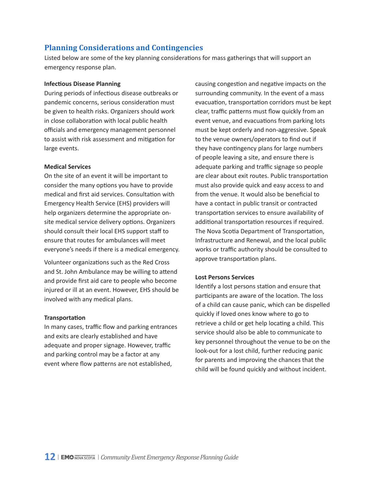## <span id="page-11-0"></span>**Planning Considerations and Contingencies**

Listed below are some of the key planning considerations for mass gatherings that will support an emergency response plan.

#### **Infectious Disease Planning**

During periods of infectious disease outbreaks or pandemic concerns, serious consideration must be given to health risks. Organizers should work in close collaboration with local public health officials and emergency management personnel to assist with risk assessment and mitigation for large events.

#### **Medical Services**

On the site of an event it will be important to consider the many options you have to provide medical and first aid services. Consultation with Emergency Health Service (EHS) providers will help organizers determine the appropriate onsite medical service delivery options. Organizers should consult their local EHS support staff to ensure that routes for ambulances will meet everyone's needs if there is a medical emergency.

Volunteer organizations such as the Red Cross and St. John Ambulance may be willing to attend and provide first aid care to people who become injured or ill at an event. However, EHS should be involved with any medical plans.

#### **Transportation**

In many cases, traffic flow and parking entrances and exits are clearly established and have adequate and proper signage. However, traffic and parking control may be a factor at any event where flow patterns are not established,

causing congestion and negative impacts on the surrounding community. In the event of a mass evacuation, transportation corridors must be kept clear, traffic patterns must flow quickly from an event venue, and evacuations from parking lots must be kept orderly and non-aggressive. Speak to the venue owners/operators to find out if they have contingency plans for large numbers of people leaving a site, and ensure there is adequate parking and traffic signage so people are clear about exit routes. Public transportation must also provide quick and easy access to and from the venue. It would also be beneficial to have a contact in public transit or contracted transportation services to ensure availability of additional transportation resources if required. The Nova Scotia Department of Transportation, Infrastructure and Renewal, and the local public works or traffic authority should be consulted to approve transportation plans.

#### **Lost Persons Services**

Identify a lost persons station and ensure that participants are aware of the location. The loss of a child can cause panic, which can be dispelled quickly if loved ones know where to go to retrieve a child or get help locating a child. This service should also be able to communicate to key personnel throughout the venue to be on the look-out for a lost child, further reducing panic for parents and improving the chances that the child will be found quickly and without incident.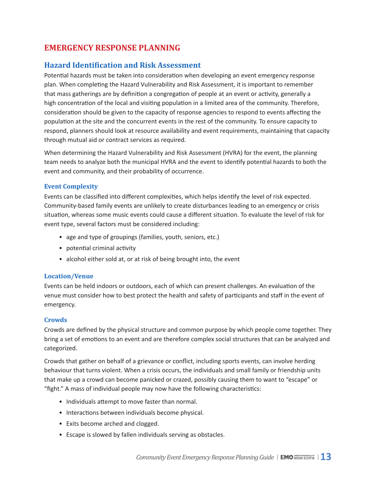## <span id="page-12-0"></span>**EMERGENCY RESPONSE PLANNING**

## **Hazard Identification and Risk Assessment**

Potential hazards must be taken into consideration when developing an event emergency response plan. When completing the Hazard Vulnerability and Risk Assessment, it is important to remember that mass gatherings are by definition a congregation of people at an event or activity, generally a high concentration of the local and visiting population in a limited area of the community. Therefore, consideration should be given to the capacity of response agencies to respond to events affecting the population at the site and the concurrent events in the rest of the community. To ensure capacity to respond, planners should look at resource availability and event requirements, maintaining that capacity through mutual aid or contract services as required.

When determining the Hazard Vulnerability and Risk Assessment (HVRA) for the event, the planning team needs to analyze both the municipal HVRA and the event to identify potential hazards to both the event and community, and their probability of occurrence.

#### **Event Complexity**

Events can be classified into different complexities, which helps identify the level of risk expected. Community-based family events are unlikely to create disturbances leading to an emergency or crisis situation, whereas some music events could cause a different situation. To evaluate the level of risk for event type, several factors must be considered including:

- age and type of groupings (families, youth, seniors, etc.)
- potential criminal activity
- alcohol either sold at, or at risk of being brought into, the event

#### **Location/Venue**

Events can be held indoors or outdoors, each of which can present challenges. An evaluation of the venue must consider how to best protect the health and safety of participants and staff in the event of emergency.

#### **Crowds**

Crowds are defined by the physical structure and common purpose by which people come together. They bring a set of emotions to an event and are therefore complex social structures that can be analyzed and categorized.

Crowds that gather on behalf of a grievance or conflict, including sports events, can involve herding behaviour that turns violent. When a crisis occurs, the individuals and small family or friendship units that make up a crowd can become panicked or crazed, possibly causing them to want to "escape" or "fight." A mass of individual people may now have the following characteristics:

- Individuals attempt to move faster than normal.
- Interactions between individuals become physical.
- Exits become arched and clogged.
- Escape is slowed by fallen individuals serving as obstacles.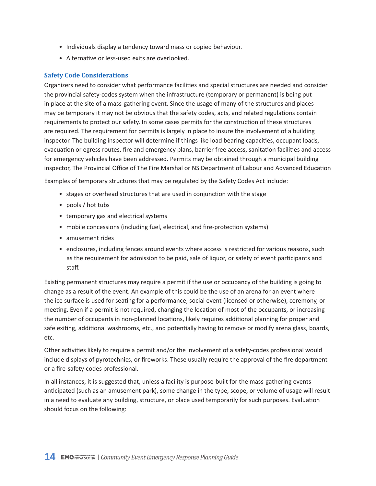- <span id="page-13-0"></span>• Individuals display a tendency toward mass or copied behaviour.
- Alternative or less-used exits are overlooked.

#### **Safety Code Considerations**

Organizers need to consider what performance facilities and special structures are needed and consider the provincial safety-codes system when the infrastructure (temporary or permanent) is being put in place at the site of a mass-gathering event. Since the usage of many of the structures and places may be temporary it may not be obvious that the safety codes, acts, and related regulations contain requirements to protect our safety. In some cases permits for the construction of these structures are required. The requirement for permits is largely in place to insure the involvement of a building inspector. The building inspector will determine if things like load bearing capacities, occupant loads, evacuation or egress routes, fire and emergency plans, barrier free access, sanitation facilities and access for emergency vehicles have been addressed. Permits may be obtained through a municipal building inspector, The Provincial Office of The Fire Marshal or NS Department of Labour and Advanced Education

Examples of temporary structures that may be regulated by the Safety Codes Act include:

- stages or overhead structures that are used in conjunction with the stage
- pools / hot tubs
- temporary gas and electrical systems
- mobile concessions (including fuel, electrical, and fire-protection systems)
- amusement rides
- enclosures, including fences around events where access is restricted for various reasons, such as the requirement for admission to be paid, sale of liquor, or safety of event participants and staff.

Existing permanent structures may require a permit if the use or occupancy of the building is going to change as a result of the event. An example of this could be the use of an arena for an event where the ice surface is used for seating for a performance, social event (licensed or otherwise), ceremony, or meeting. Even if a permit is not required, changing the location of most of the occupants, or increasing the number of occupants in non-planned locations, likely requires additional planning for proper and safe exiting, additional washrooms, etc., and potentially having to remove or modify arena glass, boards, etc.

Other activities likely to require a permit and/or the involvement of a safety-codes professional would include displays of pyrotechnics, or fireworks. These usually require the approval of the fire department or a fire-safety-codes professional.

In all instances, it is suggested that, unless a facility is purpose-built for the mass-gathering events anticipated (such as an amusement park), some change in the type, scope, or volume of usage will result in a need to evaluate any building, structure, or place used temporarily for such purposes. Evaluation should focus on the following: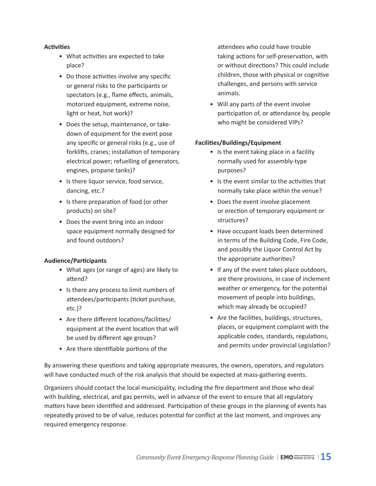#### **Activities**

- What activities are expected to take place?
- Do those activities involve any specific or general risks to the participants or spectators (e.g., flame effects, animals, motorized equipment, extreme noise, light or heat, hot work)?
- Does the setup, maintenance, or take down of equipment for the event pose any specific or general risks (e.g., use of forklifts, cranes; installation of temporary electrical power; refuelling of generators, engines, propane tanks)?
- Is there liquor service, food service, dancing, etc.?
- Is there preparation of food (or other products) on site?
- Does the event bring into an indoor space equipment normally designed for and found outdoors?

#### **Audience/Participants**

- What ages (or range of ages) are likely to attend?
- Is there any process to limit numbers of attendees/participants (ticket purchase, etc.)?
- Are there different locations/facilities/ equipment at the event location that will be used by different age groups?
- Are there identifiable portions of the

 attendees who could have trouble taking actions for self-preservation, with or without directions? This could include children, those with physical or cognitive challenges, and persons with service animals.

• Will any parts of the event involve participation of, or attendance by, people who might be considered VIPs?

#### **Facilities/Buildings/Equipment**

- Is the event taking place in a facility normally used for assembly-type purposes?
- Is the event similar to the activities that normally take place within the venue?
- Does the event involve placement or erection of temporary equipment or structures?
- Have occupant loads been determined in terms of the Building Code, Fire Code, and possibly the Liquor Control Act by the appropriate authorities?
- If any of the event takes place outdoors, are there provisions, in case of inclement weather or emergency, for the potential movement of people into buildings, which may already be occupied?
- Are the facilities, buildings, structures, places, or equipment complaint with the applicable codes, standards, regulations, and permits under provincial Legislation?

By answering these questions and taking appropriate measures, the owners, operators, and regulators will have conducted much of the risk analysis that should be expected at mass-gathering events.

Organizers should contact the local municipality, including the fire department and those who deal with building, electrical, and gas permits, well in advance of the event to ensure that all regulatory matters have been identified and addressed. Participation of these groups in the planning of events has repeatedly proved to be of value, reduces potential for conflict at the last moment, and improves any required emergency response.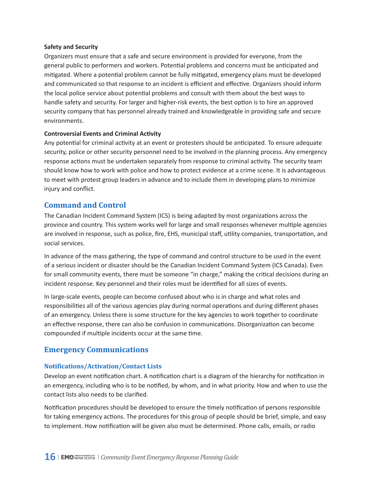#### <span id="page-15-0"></span>**Safety and Security**

Organizers must ensure that a safe and secure environment is provided for everyone, from the general public to performers and workers. Potential problems and concerns must be anticipated and mitigated. Where a potential problem cannot be fully mitigated, emergency plans must be developed and communicated so that response to an incident is efficient and effective. Organizers should inform the local police service about potential problems and consult with them about the best ways to handle safety and security. For larger and higher-risk events, the best option is to hire an approved security company that has personnel already trained and knowledgeable in providing safe and secure environments.

#### **Controversial Events and Criminal Activity**

Any potential for criminal activity at an event or protesters should be anticipated. To ensure adequate security, police or other security personnel need to be involved in the planning process. Any emergency response actions must be undertaken separately from response to criminal activity. The security team should know how to work with police and how to protect evidence at a crime scene. It is advantageous to meet with protest group leaders in advance and to include them in developing plans to minimize injury and conflict.

#### **Command and Control**

The Canadian Incident Command System (ICS) is being adapted by most organizations across the province and country. This system works well for large and small responses whenever multiple agencies are involved in response, such as police, fire, EHS, municipal staff, utility companies, transportation, and social services.

In advance of the mass gathering, the type of command and control structure to be used in the event of a serious incident or disaster should be the Canadian Incident Command System (ICS Canada). Even for small community events, there must be someone "in charge," making the critical decisions during an incident response. Key personnel and their roles must be identified for all sizes of events.

In large-scale events, people can become confused about who is in charge and what roles and responsibilities all of the various agencies play during normal operations and during different phases of an emergency. Unless there is some structure for the key agencies to work together to coordinate an effective response, there can also be confusion in communications. Disorganization can become compounded if multiple incidents occur at the same time.

## **Emergency Communications**

#### **Notifications/Activation/Contact Lists**

Develop an event notification chart. A notification chart is a diagram of the hierarchy for notification in an emergency, including who is to be notified, by whom, and in what priority. How and when to use the contact lists also needs to be clarified.

Notification procedures should be developed to ensure the timely notification of persons responsible for taking emergency actions. The procedures for this group of people should be brief, simple, and easy to implement. How notification will be given also must be determined. Phone calls, emails, or radio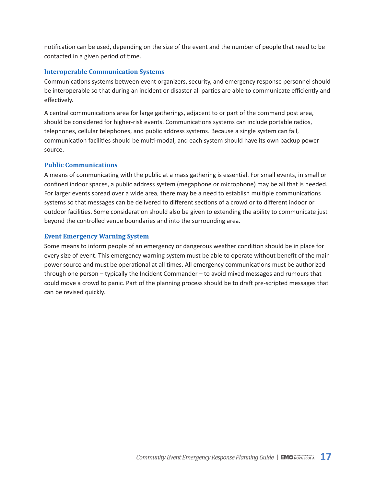<span id="page-16-0"></span>notification can be used, depending on the size of the event and the number of people that need to be contacted in a given period of time.

#### **Interoperable Communication Systems**

Communications systems between event organizers, security, and emergency response personnel should be interoperable so that during an incident or disaster all parties are able to communicate efficiently and effectively.

A central communications area for large gatherings, adjacent to or part of the command post area, should be considered for higher-risk events. Communications systems can include portable radios, telephones, cellular telephones, and public address systems. Because a single system can fail, communication facilities should be multi-modal, and each system should have its own backup power source.

#### **Public Communications**

A means of communicating with the public at a mass gathering is essential. For small events, in small or confined indoor spaces, a public address system (megaphone or microphone) may be all that is needed. For larger events spread over a wide area, there may be a need to establish multiple communications systems so that messages can be delivered to different sections of a crowd or to different indoor or outdoor facilities. Some consideration should also be given to extending the ability to communicate just beyond the controlled venue boundaries and into the surrounding area.

#### **Event Emergency Warning System**

Some means to inform people of an emergency or dangerous weather condition should be in place for every size of event. This emergency warning system must be able to operate without benefit of the main power source and must be operational at all times. All emergency communications must be authorized through one person – typically the Incident Commander – to avoid mixed messages and rumours that could move a crowd to panic. Part of the planning process should be to draft pre-scripted messages that can be revised quickly.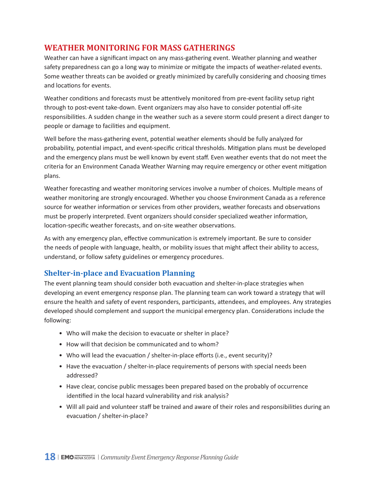## <span id="page-17-0"></span>**WEATHER MONITORING FOR MASS GATHERINGS**

Weather can have a significant impact on any mass-gathering event. Weather planning and weather safety preparedness can go a long way to minimize or mitigate the impacts of weather-related events. Some weather threats can be avoided or greatly minimized by carefully considering and choosing times and locations for events.

Weather conditions and forecasts must be attentively monitored from pre-event facility setup right through to post-event take-down. Event organizers may also have to consider potential off-site responsibilities. A sudden change in the weather such as a severe storm could present a direct danger to people or damage to facilities and equipment.

Well before the mass-gathering event, potential weather elements should be fully analyzed for probability, potential impact, and event-specific critical thresholds. Mitigation plans must be developed and the emergency plans must be well known by event staff. Even weather events that do not meet the criteria for an Environment Canada Weather Warning may require emergency or other event mitigation plans.

Weather forecasting and weather monitoring services involve a number of choices. Multiple means of weather monitoring are strongly encouraged. Whether you choose Environment Canada as a reference source for weather information or services from other providers, weather forecasts and observations must be properly interpreted. Event organizers should consider specialized weather information, location-specific weather forecasts, and on-site weather observations.

As with any emergency plan, effective communication is extremely important. Be sure to consider the needs of people with language, health, or mobility issues that might affect their ability to access, understand, or follow safety guidelines or emergency procedures.

## **Shelter-in-place and Evacuation Planning**

The event planning team should consider both evacuation and shelter-in-place strategies when developing an event emergency response plan. The planning team can work toward a strategy that will ensure the health and safety of event responders, participants, attendees, and employees. Any strategies developed should complement and support the municipal emergency plan. Considerations include the following:

- Who will make the decision to evacuate or shelter in place?
- How will that decision be communicated and to whom?
- Who will lead the evacuation / shelter-in-place efforts (i.e., event security)?
- Have the evacuation / shelter-in-place requirements of persons with special needs been addressed?
- Have clear, concise public messages been prepared based on the probably of occurrence identified in the local hazard vulnerability and risk analysis?
- Will all paid and volunteer staff be trained and aware of their roles and responsibilities during an evacuation / shelter-in-place?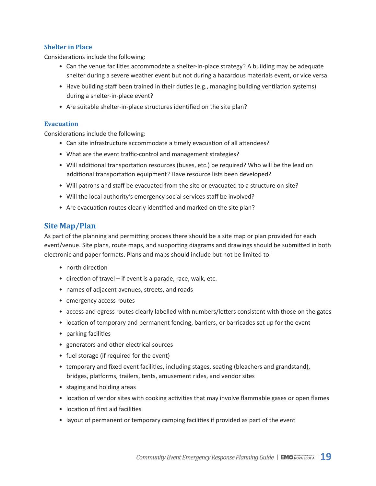#### <span id="page-18-0"></span>**Shelter in Place**

Considerations include the following:

- Can the venue facilities accommodate a shelter-in-place strategy? A building may be adequate shelter during a severe weather event but not during a hazardous materials event, or vice versa.
- Have building staff been trained in their duties (e.g., managing building ventilation systems) during a shelter-in-place event?
- Are suitable shelter-in-place structures identified on the site plan?

#### **Evacuation**

Considerations include the following:

- Can site infrastructure accommodate a timely evacuation of all attendees?
- What are the event traffic-control and management strategies?
- Will additional transportation resources (buses, etc.) be required? Who will be the lead on additional transportation equipment? Have resource lists been developed?
- Will patrons and staff be evacuated from the site or evacuated to a structure on site?
- Will the local authority's emergency social services staff be involved?
- Are evacuation routes clearly identified and marked on the site plan?

## **Site Map/Plan**

As part of the planning and permitting process there should be a site map or plan provided for each event/venue. Site plans, route maps, and supporting diagrams and drawings should be submitted in both electronic and paper formats. Plans and maps should include but not be limited to:

- north direction
- direction of travel if event is a parade, race, walk, etc.
- names of adjacent avenues, streets, and roads
- emergency access routes
- access and egress routes clearly labelled with numbers/letters consistent with those on the gates
- location of temporary and permanent fencing, barriers, or barricades set up for the event
- parking facilities
- generators and other electrical sources
- fuel storage (if required for the event)
- temporary and fixed event facilities, including stages, seating (bleachers and grandstand), bridges, platforms, trailers, tents, amusement rides, and vendor sites
- staging and holding areas
- location of vendor sites with cooking activities that may involve flammable gases or open flames
- location of first aid facilities
- layout of permanent or temporary camping facilities if provided as part of the event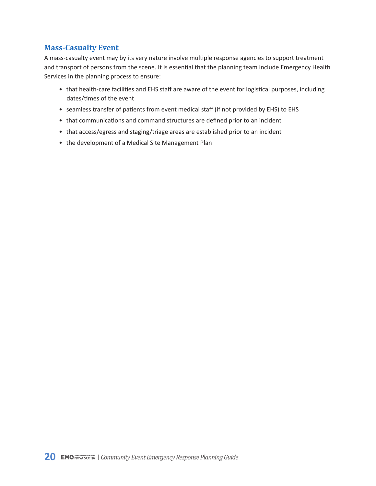## <span id="page-19-0"></span>**Mass-Casualty Event**

A mass-casualty event may by its very nature involve multiple response agencies to support treatment and transport of persons from the scene. It is essential that the planning team include Emergency Health Services in the planning process to ensure:

- that health-care facilities and EHS staff are aware of the event for logistical purposes, including dates/times of the event
- seamless transfer of patients from event medical staff (if not provided by EHS) to EHS
- that communications and command structures are defined prior to an incident
- that access/egress and staging/triage areas are established prior to an incident
- the development of a Medical Site Management Plan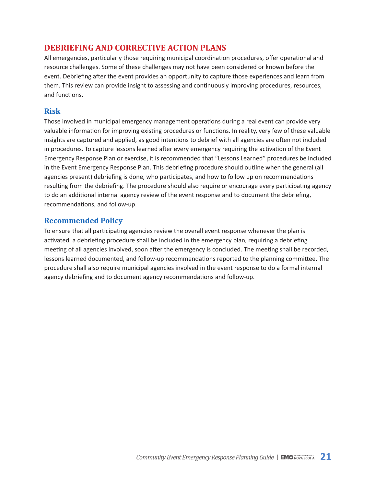## <span id="page-20-0"></span>**DEBRIEFING AND CORRECTIVE ACTION PLANS**

All emergencies, particularly those requiring municipal coordination procedures, offer operational and resource challenges. Some of these challenges may not have been considered or known before the event. Debriefing after the event provides an opportunity to capture those experiences and learn from them. This review can provide insight to assessing and continuously improving procedures, resources, and functions.

## **Risk**

Those involved in municipal emergency management operations during a real event can provide very valuable information for improving existing procedures or functions. In reality, very few of these valuable insights are captured and applied, as good intentions to debrief with all agencies are often not included in procedures. To capture lessons learned after every emergency requiring the activation of the Event Emergency Response Plan or exercise, it is recommended that "Lessons Learned" procedures be included in the Event Emergency Response Plan. This debriefing procedure should outline when the general (all agencies present) debriefing is done, who participates, and how to follow up on recommendations resulting from the debriefing. The procedure should also require or encourage every participating agency to do an additional internal agency review of the event response and to document the debriefing, recommendations, and follow-up.

## **Recommended Policy**

To ensure that all participating agencies review the overall event response whenever the plan is activated, a debriefing procedure shall be included in the emergency plan, requiring a debriefing meeting of all agencies involved, soon after the emergency is concluded. The meeting shall be recorded, lessons learned documented, and follow-up recommendations reported to the planning committee. The procedure shall also require municipal agencies involved in the event response to do a formal internal agency debriefing and to document agency recommendations and follow-up.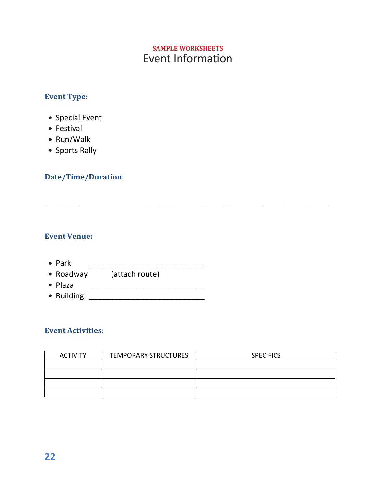# Event Information **SAMPLE WORKSHEETS**

\_\_\_\_\_\_\_\_\_\_\_\_\_\_\_\_\_\_\_\_\_\_\_\_\_\_\_\_\_\_\_\_\_\_\_\_\_\_\_\_\_\_\_\_\_\_\_\_\_\_\_\_\_\_\_\_\_\_\_\_\_\_\_\_\_\_

## <span id="page-21-0"></span>**Event Type:**

- Special Event
- Festival
- Run/Walk
- Sports Rally

## **Date/Time/Duration:**

## **Event Venue:**

- Park \_\_\_\_\_\_\_\_\_\_\_\_\_\_\_\_\_\_\_\_\_\_\_\_\_\_\_
- Roadway (attach route)
- Plaza \_\_\_\_\_\_\_\_\_\_\_\_\_\_\_\_\_\_\_\_\_\_\_\_\_\_\_
- Building \_\_\_\_\_\_\_\_\_\_\_\_\_\_\_\_\_\_\_\_\_\_\_\_\_\_\_

## **Event Activities:**

| <b>ACTIVITY</b> | <b>TEMPORARY STRUCTURES</b> | <b>SPECIFICS</b> |
|-----------------|-----------------------------|------------------|
|                 |                             |                  |
|                 |                             |                  |
|                 |                             |                  |
|                 |                             |                  |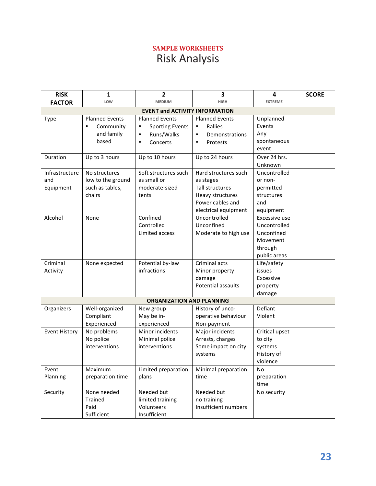# **SAMPLE WORKSHEETS** Risk Analysis

<span id="page-22-0"></span>

| <b>RISK</b>                        | 1                                                               | $\overline{2}$                                                                                           | 3                                                                                                                    | 4                                                                                  | <b>SCORE</b> |
|------------------------------------|-----------------------------------------------------------------|----------------------------------------------------------------------------------------------------------|----------------------------------------------------------------------------------------------------------------------|------------------------------------------------------------------------------------|--------------|
| <b>FACTOR</b>                      | LOW                                                             | <b>MEDIUM</b>                                                                                            | <b>HIGH</b>                                                                                                          | <b>EXTREME</b>                                                                     |              |
|                                    |                                                                 | <b>EVENT and ACTIVITY INFORMATION</b>                                                                    |                                                                                                                      |                                                                                    |              |
| Type                               | <b>Planned Events</b><br>Community<br>and family<br>based       | <b>Planned Events</b><br><b>Sporting Events</b><br>٠<br>Runs/Walks<br>$\bullet$<br>Concerts<br>$\bullet$ | <b>Planned Events</b><br>Rallies<br>$\bullet$<br>Demonstrations<br>$\bullet$<br>Protests<br>$\bullet$                | Unplanned<br>Events<br>Any<br>spontaneous<br>event                                 |              |
| Duration                           | Up to 3 hours                                                   | Up to 10 hours                                                                                           | Up to 24 hours                                                                                                       | Over 24 hrs.<br>Unknown                                                            |              |
| Infrastructure<br>and<br>Equipment | No structures<br>low to the ground<br>such as tables,<br>chairs | Soft structures such<br>as small or<br>moderate-sized<br>tents                                           | Hard structures such<br>as stages<br>Tall structures<br>Heavy structures<br>Power cables and<br>electrical equipment | Uncontrolled<br>or non-<br>permitted<br>structures<br>and<br>equipment             |              |
| Alcohol                            | None                                                            | Confined<br>Controlled<br>Limited access                                                                 | Uncontrolled<br>Unconfined<br>Moderate to high use                                                                   | Excessive use<br>Uncontrolled<br>Unconfined<br>Movement<br>through<br>public areas |              |
| Criminal<br>Activity               | None expected                                                   | Potential by-law<br>infractions                                                                          | Criminal acts<br>Minor property<br>damage<br><b>Potential assaults</b>                                               | Life/safety<br>issues<br>Excessive<br>property<br>damage                           |              |
|                                    |                                                                 | <b>ORGANIZATION AND PLANNING</b>                                                                         |                                                                                                                      |                                                                                    |              |
| Organizers                         | Well-organized<br>Compliant<br>Experienced                      | New group<br>May be in-<br>experienced                                                                   | History of unco-<br>operative behaviour<br>Non-payment                                                               | Defiant<br>Violent                                                                 |              |
| <b>Event History</b>               | No problems<br>No police<br>interventions                       | Minor incidents<br>Minimal police<br>interventions                                                       | Major incidents<br>Arrests, charges<br>Some impact on city<br>systems                                                | Critical upset<br>to city<br>systems<br>History of<br>violence                     |              |
| Event<br>Planning                  | Maximum<br>preparation time                                     | Limited preparation<br>plans                                                                             | Minimal preparation<br>time                                                                                          | No<br>preparation<br>time                                                          |              |
| Security                           | None needed<br>Trained<br>Paid<br>Sufficient                    | Needed but<br>limited training<br>Volunteers<br>Insufficient                                             | Needed but<br>no training<br>Insufficient numbers                                                                    | No security                                                                        |              |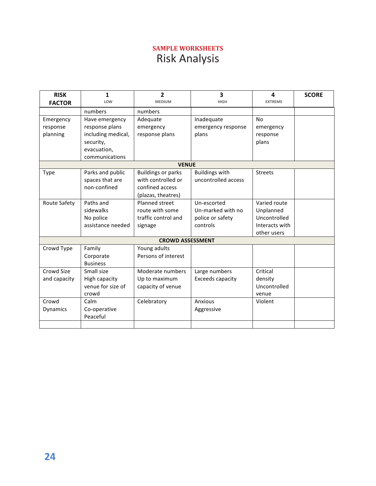# **SAMPLE WORKSHEETS** Risk Analysis

| <b>RISK</b>     | $\mathbf{1}$       | $\overline{2}$            | $\overline{\mathbf{3}}$ | 4              | <b>SCORE</b> |
|-----------------|--------------------|---------------------------|-------------------------|----------------|--------------|
| <b>FACTOR</b>   | LOW                | <b>MEDIUM</b>             | <b>HIGH</b>             | <b>EXTREME</b> |              |
|                 | numbers            | numbers                   |                         |                |              |
| Emergency       | Have emergency     | Adequate                  | Inadequate              | No             |              |
| response        | response plans     | emergency                 | emergency response      | emergency      |              |
| planning        | including medical, | response plans            | plans                   | response       |              |
|                 | security,          |                           |                         | plans          |              |
|                 | evacuation,        |                           |                         |                |              |
|                 | communications     |                           |                         |                |              |
|                 |                    | <b>VENUE</b>              |                         |                |              |
| Type            | Parks and public   | <b>Buildings or parks</b> | <b>Buildings with</b>   | <b>Streets</b> |              |
|                 | spaces that are    | with controlled or        | uncontrolled access     |                |              |
|                 | non-confined       | confined access           |                         |                |              |
|                 |                    | (plazas, theatres)        |                         |                |              |
| Route Safety    | Paths and          | Planned street            | Un-escorted             | Varied route   |              |
|                 | sidewalks          | route with some           | Un-marked with no       | Unplanned      |              |
|                 | No police          | traffic control and       | police or safety        | Uncontrolled   |              |
|                 | assistance needed  | signage                   | controls                | Interacts with |              |
|                 |                    |                           |                         | other users    |              |
|                 |                    | <b>CROWD ASSESSMENT</b>   |                         |                |              |
| Crowd Type      | Family             | Young adults              |                         |                |              |
|                 | Corporate          | Persons of interest       |                         |                |              |
|                 | <b>Business</b>    |                           |                         |                |              |
| Crowd Size      | Small size         | Moderate numbers          | Large numbers           | Critical       |              |
| and capacity    | High capacity      | Up to maximum             | Exceeds capacity        | density        |              |
|                 | venue for size of  | capacity of venue         |                         | Uncontrolled   |              |
|                 | crowd              |                           |                         | venue          |              |
| Crowd           | Calm               | Celebratory               | Anxious                 | Violent        |              |
| <b>Dynamics</b> | Co-operative       |                           | Aggressive              |                |              |
|                 | Peaceful           |                           |                         |                |              |
|                 |                    |                           |                         |                |              |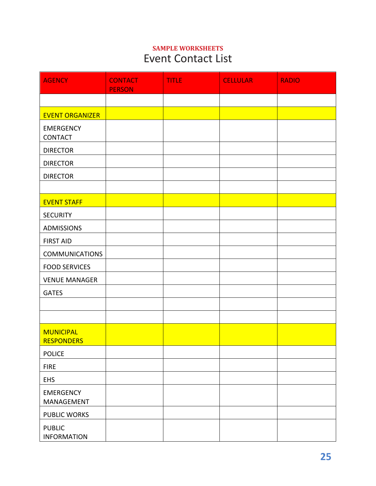# <span id="page-24-0"></span>**SAMPLE WORKSHEETS Event Contact List**

| <b>AGENCY</b>                         | <b>CONTACT</b><br><b>PERSON</b> | <b>TITLE</b> | <b>CELLULAR</b> | <b>RADIO</b> |
|---------------------------------------|---------------------------------|--------------|-----------------|--------------|
|                                       |                                 |              |                 |              |
| <b>EVENT ORGANIZER</b>                |                                 |              |                 |              |
| <b>EMERGENCY</b><br><b>CONTACT</b>    |                                 |              |                 |              |
| <b>DIRECTOR</b>                       |                                 |              |                 |              |
| <b>DIRECTOR</b>                       |                                 |              |                 |              |
| <b>DIRECTOR</b>                       |                                 |              |                 |              |
|                                       |                                 |              |                 |              |
| <b>EVENT STAFF</b>                    |                                 |              |                 |              |
| <b>SECURITY</b>                       |                                 |              |                 |              |
| <b>ADMISSIONS</b>                     |                                 |              |                 |              |
| <b>FIRST AID</b>                      |                                 |              |                 |              |
| <b>COMMUNICATIONS</b>                 |                                 |              |                 |              |
| <b>FOOD SERVICES</b>                  |                                 |              |                 |              |
| <b>VENUE MANAGER</b>                  |                                 |              |                 |              |
| <b>GATES</b>                          |                                 |              |                 |              |
|                                       |                                 |              |                 |              |
|                                       |                                 |              |                 |              |
| <b>MUNICIPAL</b><br><b>RESPONDERS</b> |                                 |              |                 |              |
| <b>POLICE</b>                         |                                 |              |                 |              |
| <b>FIRE</b>                           |                                 |              |                 |              |
| <b>EHS</b>                            |                                 |              |                 |              |
| <b>EMERGENCY</b><br>MANAGEMENT        |                                 |              |                 |              |
| <b>PUBLIC WORKS</b>                   |                                 |              |                 |              |
| <b>PUBLIC</b><br><b>INFORMATION</b>   |                                 |              |                 |              |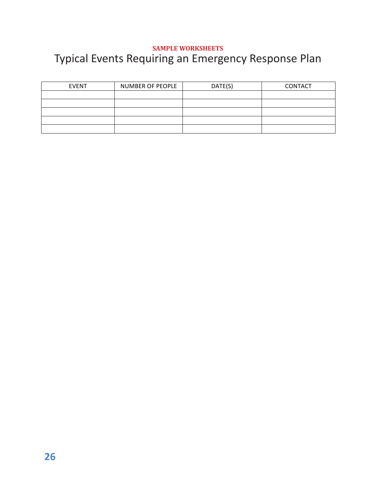#### <span id="page-25-0"></span>**SAMPLE WORKSHEETS** Typical Events Requiring an Emergency Response Plan SAMPLE WORKSHEETS **Typical Events Requiring are**

| <b>EVENT</b> | NUMBER OF PEOPLE | DATE(S) | CONTACT |
|--------------|------------------|---------|---------|
|              |                  |         |         |
|              |                  |         |         |
|              |                  |         |         |
|              |                  |         |         |
|              |                  |         |         |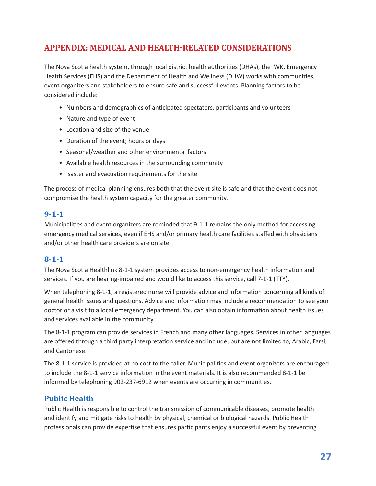# <span id="page-26-0"></span>**APPENDIX: MEDICAL AND HEALTH-RELATED CONSIDERATIONS**

The Nova Scotia health system, through local district health authorities (DHAs), the IWK, Emergency Health Services (EHS) and the Department of Health and Wellness (DHW) works with communities, event organizers and stakeholders to ensure safe and successful events. Planning factors to be considered include:

- Numbers and demographics of anticipated spectators, participants and volunteers
- Nature and type of event
- Location and size of the venue
- Duration of the event; hours or days
- Seasonal/weather and other environmental factors
- Available health resources in the surrounding community
- isaster and evacuation requirements for the site

The process of medical planning ensures both that the event site is safe and that the event does not compromise the health system capacity for the greater community.

## **9-1-1**

Municipalities and event organizers are reminded that 9-1-1 remains the only method for accessing emergency medical services, even if EHS and/or primary health care facilities staffed with physicians and/or other health care providers are on site.

## **8-1-1**

The Nova Scotia Healthlink 8-1-1 system provides access to non-emergency health information and services. If you are hearing-impaired and would like to access this service, call 7-1-1 (TTY).

When telephoning 8-1-1, a registered nurse will provide advice and information concerning all kinds of general health issues and questions. Advice and information may include a recommendation to see your doctor or a visit to a local emergency department. You can also obtain information about health issues and services available in the community.

The 8-1-1 program can provide services in French and many other languages. Services in other languages are offered through a third party interpretation service and include, but are not limited to, Arabic, Farsi, and Cantonese.

The 8-1-1 service is provided at no cost to the caller. Municipalities and event organizers are encouraged to include the 8-1-1 service information in the event materials. It is also recommended 8-1-1 be informed by telephoning 902-237-6912 when events are occurring in communities.

## **Public Health**

Public Health is responsible to control the transmission of communicable diseases, promote health and identify and mitigate risks to health by physical, chemical or biological hazards. Public Health professionals can provide expertise that ensures participants enjoy a successful event by preventing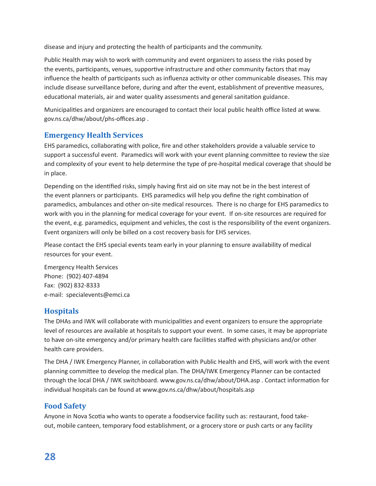disease and injury and protecting the health of participants and the community.

Public Health may wish to work with community and event organizers to assess the risks posed by the events, participants, venues, supportive infrastructure and other community factors that may influence the health of participants such as influenza activity or other communicable diseases. This may include disease surveillance before, during and after the event, establishment of preventive measures, educational materials, air and water quality assessments and general sanitation guidance.

Municipalities and organizers are encouraged to contact their local public health office listed at www. gov.ns.ca/dhw/about/phs-offices.asp .

## **Emergency Health Services**

EHS paramedics, collaborating with police, fire and other stakeholders provide a valuable service to support a successful event. Paramedics will work with your event planning committee to review the size and complexity of your event to help determine the type of pre-hospital medical coverage that should be in place.

Depending on the identified risks, simply having first aid on site may not be in the best interest of the event planners or participants. EHS paramedics will help you define the right combination of paramedics, ambulances and other on-site medical resources. There is no charge for EHS paramedics to work with you in the planning for medical coverage for your event. If on-site resources are required for the event, e.g. paramedics, equipment and vehicles, the cost is the responsibility of the event organizers. Event organizers will only be billed on a cost recovery basis for EHS services.

Please contact the EHS special events team early in your planning to ensure availability of medical resources for your event.

Emergency Health Services Phone: (902) 407-4894 Fax: (902) 832-8333 e-mail: specialevents@emci.ca

## **Hospitals**

The DHAs and IWK will collaborate with municipalities and event organizers to ensure the appropriate level of resources are available at hospitals to support your event. In some cases, it may be appropriate to have on-site emergency and/or primary health care facilities staffed with physicians and/or other health care providers.

The DHA / IWK Emergency Planner, in collaboration with Public Health and EHS, will work with the event planning committee to develop the medical plan. The DHA/IWK Emergency Planner can be contacted through the local DHA / IWK switchboard. www.gov.ns.ca/dhw/about/DHA.asp . Contact information for individual hospitals can be found at www.gov.ns.ca/dhw/about/hospitals.asp

## **Food Safety**

Anyone in Nova Scotia who wants to operate a foodservice facility such as: restaurant, food takeout, mobile canteen, temporary food establishment, or a grocery store or push carts or any facility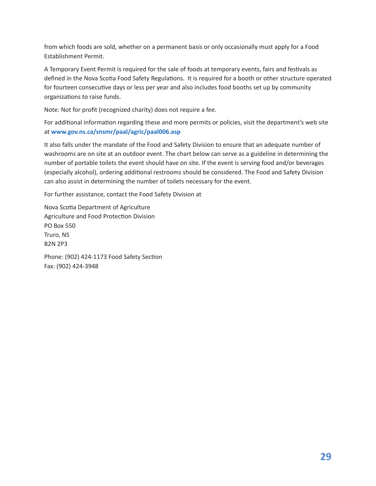from which foods are sold, whether on a permanent basis or only occasionally must apply for a Food Establishment Permit.

A Temporary Event Permit is required for the sale of foods at temporary events, fairs and festivals as defined in the Nova Scotia Food Safety Regulations. It is required for a booth or other structure operated for fourteen consecutive days or less per year and also includes food booths set up by community organizations to raise funds.

Note: Not for profit (recognized charity) does not require a fee.

For additional information regarding these and more permits or policies, visit the department's web site at **[www.gov.ns.ca/snsmr/paal/agric/paal006.asp](http://www.gov.ns.ca/snsmr/paal/agric/paal006.asp)**

It also falls under the mandate of the Food and Safety Division to ensure that an adequate number of washrooms are on site at an outdoor event. The chart below can serve as a guideline in determining the number of portable toilets the event should have on site. If the event is serving food and/or beverages (especially alcohol), ordering additional restrooms should be considered. The Food and Safety Division can also assist in determining the number of toilets necessary for the event.

For further assistance, contact the Food Safety Division at

Nova Scotia Department of Agriculture Agriculture and Food Protection Division PO Box 550 Truro, NS B2N 2P3

Phone: (902) 424-1173 Food Safety Section Fax: (902) 424-3948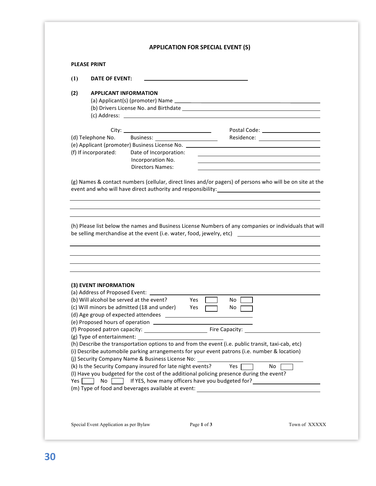#### <span id="page-29-0"></span>**PLEASE PRINT**

| $\mathbf{u}$ | DATE OF EVENT: |  |
|--------------|----------------|--|
|              |                |  |

#### **(2) APPLICANT INFORMATION**

 $\overline{\phantom{0}}$  $\overline{\phantom{0}}$ 

|                                               |                         | Postal Code: The Contract of the Contract of the Code: |
|-----------------------------------------------|-------------------------|--------------------------------------------------------|
| (d) Telephone No.                             | Business:               | Residence:                                             |
| (e) Applicant (promoter) Business License No. |                         | <u> 1989 - Andrea Andrew Maria (h. 1989).</u>          |
| (f) If incorporated:                          | Date of Incorporation:  |                                                        |
|                                               | Incorporation No.       |                                                        |
|                                               | <b>Directors Names:</b> |                                                        |

(g) Names & contact numbers (cellular, direct lines and/or pagers) of persons who will be on site at the event and who will have direct authority and responsibility:

(h) Please list below the names and Business License Numbers of any companies or individuals that will be selling merchandise at the event (i.e. water, food, jewelry, etc) \_\_\_\_\_\_\_\_\_\_\_\_\_\_\_\_\_\_\_\_\_\_\_\_\_\_\_\_\_\_

| (3) EVENT INFORMATION                                               |                                                                                                    |
|---------------------------------------------------------------------|----------------------------------------------------------------------------------------------------|
| (a) Address of Proposed Event:                                      |                                                                                                    |
| (b) Will alcohol be served at the event?                            | Yes<br>No                                                                                          |
| (c) Will minors be admitted (18 and under)                          | Yes<br>No.                                                                                         |
|                                                                     |                                                                                                    |
|                                                                     |                                                                                                    |
|                                                                     |                                                                                                    |
|                                                                     |                                                                                                    |
|                                                                     |                                                                                                    |
|                                                                     | (h) Describe the transportation options to and from the event (i.e. public transit, taxi-cab, etc) |
|                                                                     | (i) Describe automobile parking arrangements for your event patrons (i.e. number & location)       |
|                                                                     | (j) Security Company Name & Business License No:                                                   |
|                                                                     | No.<br>Yes $\Box$                                                                                  |
|                                                                     | (I) Have you budgeted for the cost of the additional policing presence during the event?           |
| (k) Is the Security Company insured for late night events?<br>Yes l | No <b>If YES, how many officers have you budgeted for?</b>                                         |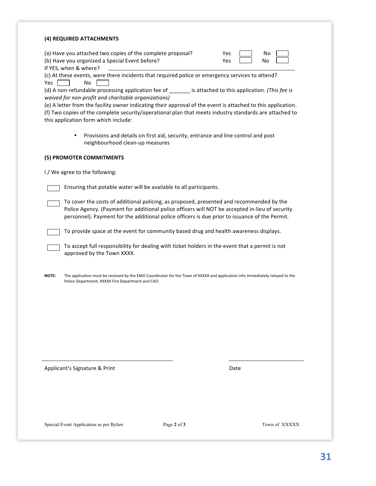| (c) At these events, were there incidents that required police or emergency services to attend?<br>No<br>(d) A non-refundable processing application fee of ________ is attached to this application. (This fee is<br>waived for non-profit and charitable organizations)<br>(e) A letter from the facility owner indicating their approval of the event is attached to this application.<br>(f) Two copies of the complete security/operational plan that meets industry standards are attached to<br>Provisions and details on first aid, security, entrance and line control and post<br>$\bullet$<br>neighbourhood clean-up measures<br>Ensuring that potable water will be available to all participants.<br>To cover the costs of additional policing, as proposed, presented and recommended by the<br>Police Agency. (Payment for additional police officers will NOT be accepted in-lieu of security<br>personnel). Payment for the additional police officers is due prior to issuance of the Permit.<br>To provide space at the event for community based drug and health awareness displays.<br>To accept full responsibility for dealing with ticket holders in the event that a permit is not<br>approved by the Town XXXX.<br>The application must be received by the EMO Coordinator for the Town of XXXXX and application info immediately relayed to the<br>Police Department, XXXXX Fire Department and CAO.<br>Date |                                      | (a) Have you attached two copies of the complete proposal?<br>(b) Have you organized a Special Event before? | Yes<br>No<br>Yes<br>No |
|-----------------------------------------------------------------------------------------------------------------------------------------------------------------------------------------------------------------------------------------------------------------------------------------------------------------------------------------------------------------------------------------------------------------------------------------------------------------------------------------------------------------------------------------------------------------------------------------------------------------------------------------------------------------------------------------------------------------------------------------------------------------------------------------------------------------------------------------------------------------------------------------------------------------------------------------------------------------------------------------------------------------------------------------------------------------------------------------------------------------------------------------------------------------------------------------------------------------------------------------------------------------------------------------------------------------------------------------------------------------------------------------------------------------------------------------|--------------------------------------|--------------------------------------------------------------------------------------------------------------|------------------------|
|                                                                                                                                                                                                                                                                                                                                                                                                                                                                                                                                                                                                                                                                                                                                                                                                                                                                                                                                                                                                                                                                                                                                                                                                                                                                                                                                                                                                                                         | If YES, when & where?<br>Yes.        |                                                                                                              |                        |
|                                                                                                                                                                                                                                                                                                                                                                                                                                                                                                                                                                                                                                                                                                                                                                                                                                                                                                                                                                                                                                                                                                                                                                                                                                                                                                                                                                                                                                         | this application form which include: |                                                                                                              |                        |
|                                                                                                                                                                                                                                                                                                                                                                                                                                                                                                                                                                                                                                                                                                                                                                                                                                                                                                                                                                                                                                                                                                                                                                                                                                                                                                                                                                                                                                         |                                      |                                                                                                              |                        |
|                                                                                                                                                                                                                                                                                                                                                                                                                                                                                                                                                                                                                                                                                                                                                                                                                                                                                                                                                                                                                                                                                                                                                                                                                                                                                                                                                                                                                                         | (5) PROMOTER COMMITMENTS             |                                                                                                              |                        |
|                                                                                                                                                                                                                                                                                                                                                                                                                                                                                                                                                                                                                                                                                                                                                                                                                                                                                                                                                                                                                                                                                                                                                                                                                                                                                                                                                                                                                                         | I / We agree to the following:       |                                                                                                              |                        |
|                                                                                                                                                                                                                                                                                                                                                                                                                                                                                                                                                                                                                                                                                                                                                                                                                                                                                                                                                                                                                                                                                                                                                                                                                                                                                                                                                                                                                                         |                                      |                                                                                                              |                        |
|                                                                                                                                                                                                                                                                                                                                                                                                                                                                                                                                                                                                                                                                                                                                                                                                                                                                                                                                                                                                                                                                                                                                                                                                                                                                                                                                                                                                                                         |                                      |                                                                                                              |                        |
|                                                                                                                                                                                                                                                                                                                                                                                                                                                                                                                                                                                                                                                                                                                                                                                                                                                                                                                                                                                                                                                                                                                                                                                                                                                                                                                                                                                                                                         |                                      |                                                                                                              |                        |
|                                                                                                                                                                                                                                                                                                                                                                                                                                                                                                                                                                                                                                                                                                                                                                                                                                                                                                                                                                                                                                                                                                                                                                                                                                                                                                                                                                                                                                         |                                      |                                                                                                              |                        |
|                                                                                                                                                                                                                                                                                                                                                                                                                                                                                                                                                                                                                                                                                                                                                                                                                                                                                                                                                                                                                                                                                                                                                                                                                                                                                                                                                                                                                                         | <b>NOTE:</b>                         |                                                                                                              |                        |
|                                                                                                                                                                                                                                                                                                                                                                                                                                                                                                                                                                                                                                                                                                                                                                                                                                                                                                                                                                                                                                                                                                                                                                                                                                                                                                                                                                                                                                         |                                      |                                                                                                              |                        |
|                                                                                                                                                                                                                                                                                                                                                                                                                                                                                                                                                                                                                                                                                                                                                                                                                                                                                                                                                                                                                                                                                                                                                                                                                                                                                                                                                                                                                                         |                                      |                                                                                                              |                        |
|                                                                                                                                                                                                                                                                                                                                                                                                                                                                                                                                                                                                                                                                                                                                                                                                                                                                                                                                                                                                                                                                                                                                                                                                                                                                                                                                                                                                                                         |                                      |                                                                                                              |                        |
|                                                                                                                                                                                                                                                                                                                                                                                                                                                                                                                                                                                                                                                                                                                                                                                                                                                                                                                                                                                                                                                                                                                                                                                                                                                                                                                                                                                                                                         |                                      |                                                                                                              |                        |
|                                                                                                                                                                                                                                                                                                                                                                                                                                                                                                                                                                                                                                                                                                                                                                                                                                                                                                                                                                                                                                                                                                                                                                                                                                                                                                                                                                                                                                         |                                      |                                                                                                              |                        |
|                                                                                                                                                                                                                                                                                                                                                                                                                                                                                                                                                                                                                                                                                                                                                                                                                                                                                                                                                                                                                                                                                                                                                                                                                                                                                                                                                                                                                                         |                                      |                                                                                                              |                        |
|                                                                                                                                                                                                                                                                                                                                                                                                                                                                                                                                                                                                                                                                                                                                                                                                                                                                                                                                                                                                                                                                                                                                                                                                                                                                                                                                                                                                                                         | Applicant's Signature & Print        |                                                                                                              |                        |
|                                                                                                                                                                                                                                                                                                                                                                                                                                                                                                                                                                                                                                                                                                                                                                                                                                                                                                                                                                                                                                                                                                                                                                                                                                                                                                                                                                                                                                         |                                      |                                                                                                              |                        |
| Special Event Application as per Bylaw<br>Page 2 of 3<br>Town of XXXXX                                                                                                                                                                                                                                                                                                                                                                                                                                                                                                                                                                                                                                                                                                                                                                                                                                                                                                                                                                                                                                                                                                                                                                                                                                                                                                                                                                  |                                      |                                                                                                              |                        |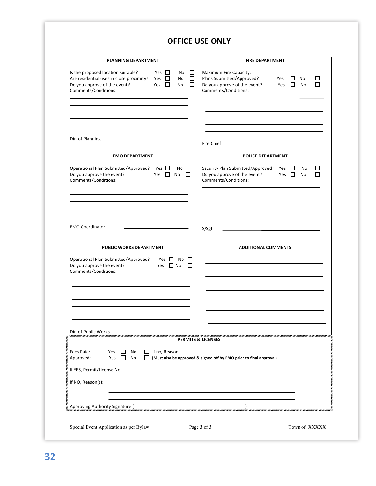## **OFFICE USE ONLY**

| Is the proposed location suitable?<br>Yes $\Box$<br>Maximum Fire Capacity:<br>No<br>$\Box$<br>Are residential uses in close proximity?<br>Yes $\Box$<br>$\Box$<br>Plans Submitted/Approved?<br><b>No</b><br>Yes<br>⊔<br>No.<br>Do you approve of the event?<br>Yes $\Box$<br>Do you approve of the event?<br>Yes $\Box$<br>$\Box$<br>No<br>No<br>Dir. of Planning<br>the control of the control of the control of the control of<br>Fire Chief<br><b>EMO DEPARTMENT</b><br>POLICE DEPARTMENT<br>Operational Plan Submitted/Approved? Yes $\Box$<br>Security Plan Submitted/Approved? Yes □<br>$No \Box$<br>No<br>Do you approve the event?<br>$\Box$<br>Do you approve of the event?<br>Yes $\Box$ No<br>Yes $\square$<br><b>No</b><br>Comments/Conditions:<br>Comments/Conditions:<br><b>EMO Coordinator</b><br>S/Sgt<br>PUBLIC WORKS DEPARTMENT<br><b>ADDITIONAL COMMENTS</b><br>$No$ $\Box$<br>Yes    <br>Yes $\Box$ No<br>П<br>Dir. of Public Works<br>ET TENEN NEUM TENEN NEUM TENEN NEUM TENEN NEUM TENEN NEUM TENEN ZEN HET TENEN NEUM TENEN NEUM TENEN NEUM TENEN NEUM TENEN NEUM TENEN<br><b>PERMITS &amp; LICENSES</b><br>Fees Paid:<br>Yes<br>$\Box$ If no, Reason<br>No<br>$\mathbf{1}$<br>Yes $\Box$<br><b>No</b><br>(Must also be approved & signed off by EMO prior to final approval)<br>Approved: | <b>PLANNING DEPARTMENT</b> |  | <b>FIRE DEPARTMENT</b>   |
|--------------------------------------------------------------------------------------------------------------------------------------------------------------------------------------------------------------------------------------------------------------------------------------------------------------------------------------------------------------------------------------------------------------------------------------------------------------------------------------------------------------------------------------------------------------------------------------------------------------------------------------------------------------------------------------------------------------------------------------------------------------------------------------------------------------------------------------------------------------------------------------------------------------------------------------------------------------------------------------------------------------------------------------------------------------------------------------------------------------------------------------------------------------------------------------------------------------------------------------------------------------------------------------------------------------------|----------------------------|--|--------------------------|
|                                                                                                                                                                                                                                                                                                                                                                                                                                                                                                                                                                                                                                                                                                                                                                                                                                                                                                                                                                                                                                                                                                                                                                                                                                                                                                                    |                            |  | $\Box$<br>$\blacksquare$ |
|                                                                                                                                                                                                                                                                                                                                                                                                                                                                                                                                                                                                                                                                                                                                                                                                                                                                                                                                                                                                                                                                                                                                                                                                                                                                                                                    |                            |  |                          |
|                                                                                                                                                                                                                                                                                                                                                                                                                                                                                                                                                                                                                                                                                                                                                                                                                                                                                                                                                                                                                                                                                                                                                                                                                                                                                                                    |                            |  |                          |
| Operational Plan Submitted/Approved?<br>Do you approve the event?<br>Comments/Conditions:<br>If NO, Reason(s):                                                                                                                                                                                                                                                                                                                                                                                                                                                                                                                                                                                                                                                                                                                                                                                                                                                                                                                                                                                                                                                                                                                                                                                                     |                            |  | l 1<br>П                 |
|                                                                                                                                                                                                                                                                                                                                                                                                                                                                                                                                                                                                                                                                                                                                                                                                                                                                                                                                                                                                                                                                                                                                                                                                                                                                                                                    |                            |  |                          |
|                                                                                                                                                                                                                                                                                                                                                                                                                                                                                                                                                                                                                                                                                                                                                                                                                                                                                                                                                                                                                                                                                                                                                                                                                                                                                                                    |                            |  |                          |
|                                                                                                                                                                                                                                                                                                                                                                                                                                                                                                                                                                                                                                                                                                                                                                                                                                                                                                                                                                                                                                                                                                                                                                                                                                                                                                                    |                            |  |                          |
|                                                                                                                                                                                                                                                                                                                                                                                                                                                                                                                                                                                                                                                                                                                                                                                                                                                                                                                                                                                                                                                                                                                                                                                                                                                                                                                    |                            |  |                          |
|                                                                                                                                                                                                                                                                                                                                                                                                                                                                                                                                                                                                                                                                                                                                                                                                                                                                                                                                                                                                                                                                                                                                                                                                                                                                                                                    |                            |  |                          |
|                                                                                                                                                                                                                                                                                                                                                                                                                                                                                                                                                                                                                                                                                                                                                                                                                                                                                                                                                                                                                                                                                                                                                                                                                                                                                                                    |                            |  |                          |
|                                                                                                                                                                                                                                                                                                                                                                                                                                                                                                                                                                                                                                                                                                                                                                                                                                                                                                                                                                                                                                                                                                                                                                                                                                                                                                                    |                            |  |                          |
|                                                                                                                                                                                                                                                                                                                                                                                                                                                                                                                                                                                                                                                                                                                                                                                                                                                                                                                                                                                                                                                                                                                                                                                                                                                                                                                    |                            |  |                          |
|                                                                                                                                                                                                                                                                                                                                                                                                                                                                                                                                                                                                                                                                                                                                                                                                                                                                                                                                                                                                                                                                                                                                                                                                                                                                                                                    |                            |  |                          |
|                                                                                                                                                                                                                                                                                                                                                                                                                                                                                                                                                                                                                                                                                                                                                                                                                                                                                                                                                                                                                                                                                                                                                                                                                                                                                                                    |                            |  |                          |
|                                                                                                                                                                                                                                                                                                                                                                                                                                                                                                                                                                                                                                                                                                                                                                                                                                                                                                                                                                                                                                                                                                                                                                                                                                                                                                                    |                            |  |                          |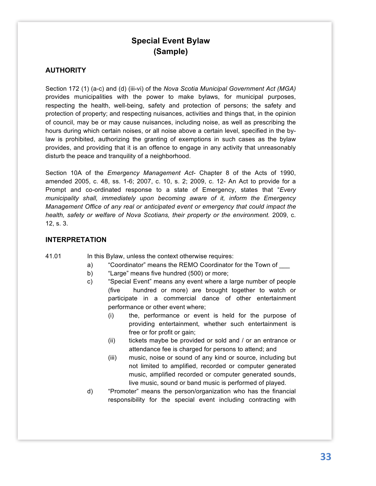# **Special Event Bylaw (Sample)**

#### <span id="page-32-0"></span>**AUTHORITY**

Section 172 (1) (a-c) and (d) (iii-vi) of the *Nova Scotia Municipal Government Act (MGA)* provides municipalities with the power to make bylaws, for municipal purposes, respecting the health, well-being, safety and protection of persons; the safety and protection of property; and respecting nuisances, activities and things that, in the opinion of council, may be or may cause nuisances, including noise, as well as prescribing the hours during which certain noises, or all noise above a certain level, specified in the bylaw is prohibited, authorizing the granting of exemptions in such cases as the bylaw provides, and providing that it is an offence to engage in any activity that unreasonably disturb the peace and tranquility of a neighborhood.

Section 10A of the *Emergency Management Act*- Chapter 8 of the Acts of 1990, amended 2005, c. 48, ss. 1-6; 2007, c. 10, s. 2; 2009, c. 12- An Act to provide for a Prompt and co-ordinated response to a state of Emergency, states that "*Every municipality shall, immediately upon becoming aware of it, inform the Emergency Management Office of any real or anticipated event or emergency that could impact the health, safety or welfare of Nova Scotians, their property or the environment.* 2009, c. 12, s. 3.

#### **INTERPRETATION**

#### 41.01 In this Bylaw, unless the context otherwise requires:

- a) "Coordinator" means the REMO Coordinator for the Town of
- b) "Large" means five hundred (500) or more;
- c) "Special Event" means any event where a large number of people (five hundred or more) are brought together to watch or participate in a commercial dance of other entertainment performance or other event where;
	- (i) the, performance or event is held for the purpose of providing entertainment, whether such entertainment is free or for profit or gain;
	- (ii) tickets maybe be provided or sold and / or an entrance or attendance fee is charged for persons to attend; and
	- (iii) music, noise or sound of any kind or source, including but not limited to amplified, recorded or computer generated music, amplified recorded or computer generated sounds, live music, sound or band music is performed of played.
- d) "Promoter" means the person/organization who has the financial responsibility for the special event including contracting with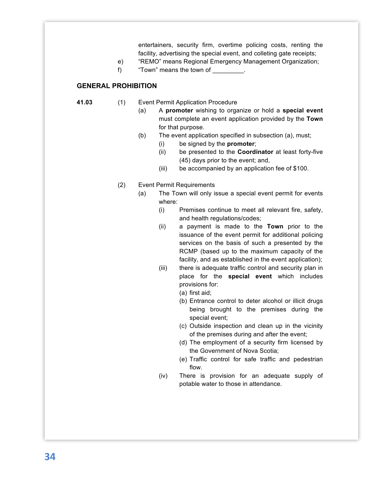entertainers, security firm, overtime policing costs, renting the facility, advertising the special event, and colleting gate receipts;

- e) "REMO" means Regional Emergency Management Organization;
- f) "Town" means the town of

#### **GENERAL PROHIBITION**

- **41.03** (1) Event Permit Application Procedure
	- (a) A **promoter** wishing to organize or hold a **special event** must complete an event application provided by the **Town** for that purpose.
	- (b) The event application specified in subsection (a), must;
		- (i) be signed by the **promoter**;
		- (ii) be presented to the **Coordinator** at least forty-five (45) days prior to the event; and,
		- (iii) be accompanied by an application fee of \$100.
	- (2) Event Permit Requirements
		- (a) The Town will only issue a special event permit for events where:
			- (i) Premises continue to meet all relevant fire, safety, and health regulations/codes;
			- (ii) a payment is made to the **Town** prior to the issuance of the event permit for additional policing services on the basis of such a presented by the RCMP (based up to the maximum capacity of the facility, and as established in the event application);
			- (iii) there is adequate traffic control and security plan in place for the **special event** which includes provisions for:
				- (a) first aid;
				- (b) Entrance control to deter alcohol or illicit drugs being brought to the premises during the special event;
				- (c) Outside inspection and clean up in the vicinity of the premises during and after the event;
				- (d) The employment of a security firm licensed by the Government of Nova Scotia;
				- (e) Traffic control for safe traffic and pedestrian flow.
			- (iv) There is provision for an adequate supply of potable water to those in attendance.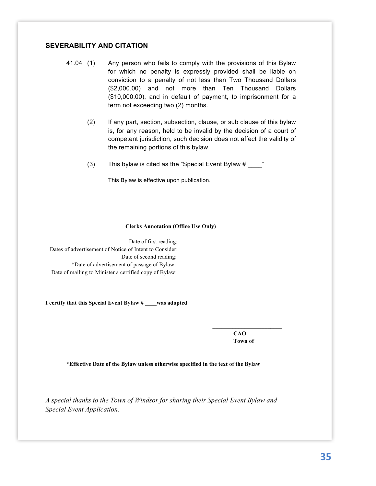#### **SEVERABILITY AND CITATION**

- 41.04 (1) Any person who fails to comply with the provisions of this Bylaw for which no penalty is expressly provided shall be liable on conviction to a penalty of not less than Two Thousand Dollars (\$2,000.00) and not more than Ten Thousand Dollars (\$10,000.00), and in default of payment, to imprisonment for a term not exceeding two (2) months.
	- (2) If any part, section, subsection, clause, or sub clause of this bylaw is, for any reason, held to be invalid by the decision of a court of competent jurisdiction, such decision does not affect the validity of the remaining portions of this bylaw.
	- (3) This bylaw is cited as the "Special Event Bylaw  $\#$  \_\_\_\_\_"

This Bylaw is effective upon publication.

#### **Clerks Annotation (Office Use Only)**

Date of first reading: Dates of advertisement of Notice of Intent to Consider: Date of second reading: \*Date of advertisement of passage of Bylaw: Date of mailing to Minister a certified copy of Bylaw:

**I certify that this Special Event Bylaw # \_\_\_\_was adopted**

**CAO Town of** 

**\_\_\_\_\_\_\_\_\_\_\_\_\_\_\_\_\_\_\_\_\_\_\_\_**

**\*Effective Date of the Bylaw unless otherwise specified in the text of the Bylaw**

*A special thanks to the Town of Windsor for sharing their Special Event Bylaw and Special Event Application.*